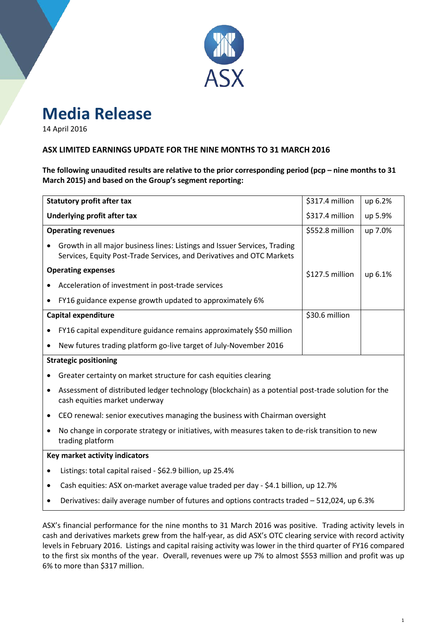

## **Media Release**

14 April 2016

#### **ASX LIMITED EARNINGS UPDATE FOR THE NINE MONTHS TO 31 MARCH 2016**

**The following unaudited results are relative to the prior corresponding period (pcp – nine months to 31 March 2015) and based on the Group's segment reporting:**

|                                | <b>Statutory profit after tax</b>                                                                                                                  | \$317.4 million | up 6.2% |  |  |  |  |
|--------------------------------|----------------------------------------------------------------------------------------------------------------------------------------------------|-----------------|---------|--|--|--|--|
|                                | Underlying profit after tax                                                                                                                        | \$317.4 million | up 5.9% |  |  |  |  |
|                                | <b>Operating revenues</b>                                                                                                                          | \$552.8 million | up 7.0% |  |  |  |  |
|                                | Growth in all major business lines: Listings and Issuer Services, Trading<br>Services, Equity Post-Trade Services, and Derivatives and OTC Markets |                 |         |  |  |  |  |
|                                | <b>Operating expenses</b>                                                                                                                          | \$127.5 million | up 6.1% |  |  |  |  |
|                                | Acceleration of investment in post-trade services                                                                                                  |                 |         |  |  |  |  |
|                                | FY16 guidance expense growth updated to approximately 6%                                                                                           |                 |         |  |  |  |  |
|                                | <b>Capital expenditure</b>                                                                                                                         | \$30.6 million  |         |  |  |  |  |
|                                | FY16 capital expenditure guidance remains approximately \$50 million                                                                               |                 |         |  |  |  |  |
| $\bullet$                      | New futures trading platform go-live target of July-November 2016                                                                                  |                 |         |  |  |  |  |
| <b>Strategic positioning</b>   |                                                                                                                                                    |                 |         |  |  |  |  |
|                                | Greater certainty on market structure for cash equities clearing                                                                                   |                 |         |  |  |  |  |
|                                | Assessment of distributed ledger technology (blockchain) as a potential post-trade solution for the<br>cash equities market underway               |                 |         |  |  |  |  |
| ٠                              | CEO renewal: senior executives managing the business with Chairman oversight                                                                       |                 |         |  |  |  |  |
|                                | No change in corporate strategy or initiatives, with measures taken to de-risk transition to new<br>trading platform                               |                 |         |  |  |  |  |
| Key market activity indicators |                                                                                                                                                    |                 |         |  |  |  |  |
|                                | Listings: total capital raised - \$62.9 billion, up 25.4%                                                                                          |                 |         |  |  |  |  |
| $\bullet$                      | Cash equities: ASX on-market average value traded per day - \$4.1 billion, up 12.7%                                                                |                 |         |  |  |  |  |
|                                | Derivatives: daily average number of futures and options contracts traded - 512,024, up 6.3%                                                       |                 |         |  |  |  |  |
|                                |                                                                                                                                                    |                 |         |  |  |  |  |

ASX's financial performance for the nine months to 31 March 2016 was positive. Trading activity levels in cash and derivatives markets grew from the half-year, as did ASX's OTC clearing service with record activity levels in February 2016. Listings and capital raising activity was lower in the third quarter of FY16 compared to the first six months of the year. Overall, revenues were up 7% to almost \$553 million and profit was up 6% to more than \$317 million.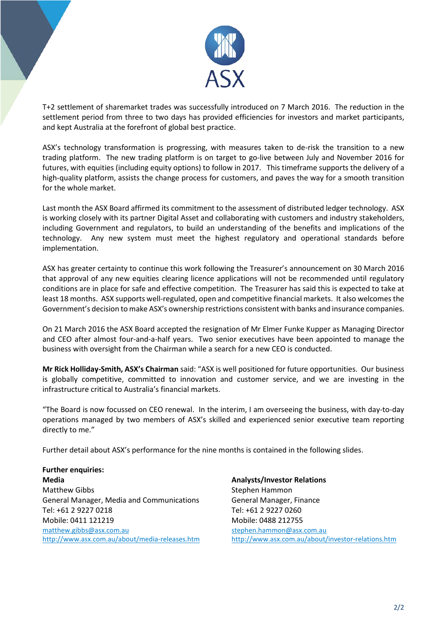

T+2 settlement of sharemarket trades was successfully introduced on 7 March 2016. The reduction in the settlement period from three to two days has provided efficiencies for investors and market participants, and kept Australia at the forefront of global best practice.

ASX's technology transformation is progressing, with measures taken to de-risk the transition to a new trading platform. The new trading platform is on target to go-live between July and November 2016 for futures, with equities (including equity options) to follow in 2017. This timeframe supports the delivery of a high-quality platform, assists the change process for customers, and paves the way for a smooth transition for the whole market.

Last month the ASX Board affirmed its commitment to the assessment of distributed ledger technology. ASX is working closely with its partner Digital Asset and collaborating with customers and industry stakeholders, including Government and regulators, to build an understanding of the benefits and implications of the technology. Any new system must meet the highest regulatory and operational standards before implementation.

ASX has greater certainty to continue this work following the Treasurer's announcement on 30 March 2016 that approval of any new equities clearing licence applications will not be recommended until regulatory conditions are in place for safe and effective competition. The Treasurer has said this is expected to take at least 18 months. ASX supports well-regulated, open and competitive financial markets. It also welcomes the Government's decision to make ASX's ownership restrictions consistent with banks and insurance companies.

On 21 March 2016 the ASX Board accepted the resignation of Mr Elmer Funke Kupper as Managing Director and CEO after almost four-and-a-half years. Two senior executives have been appointed to manage the business with oversight from the Chairman while a search for a new CEO is conducted.

**Mr Rick Holliday-Smith, ASX's Chairman** said: "ASX is well positioned for future opportunities. Our business is globally competitive, committed to innovation and customer service, and we are investing in the infrastructure critical to Australia's financial markets.

"The Board is now focussed on CEO renewal. In the interim, I am overseeing the business, with day-to-day operations managed by two members of ASX's skilled and experienced senior executive team reporting directly to me."

Further detail about ASX's performance for the nine months is contained in the following slides.

**Further enquiries: Media** Matthew Gibbs General Manager, Media and Communications Tel: +61 2 9227 0218 Mobile: 0411 121219 [matthew.gibbs@asx.com.au](mailto:matthew.gibbs@asx.com.au) <http://www.asx.com.au/about/media-releases.htm>

**Analysts/Investor Relations** Stephen Hammon General Manager, Finance Tel: +61 2 9227 0260 Mobile: 0488 212755 [stephen.hammon@asx.com.au](mailto:stephen.hammon@asx.com.au) <http://www.asx.com.au/about/investor-relations.htm>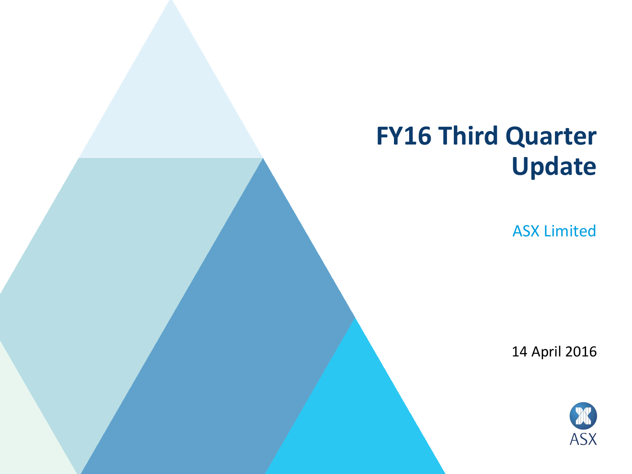# **FY16 Third Quarter Update**

ASX Limited

14 April 2016

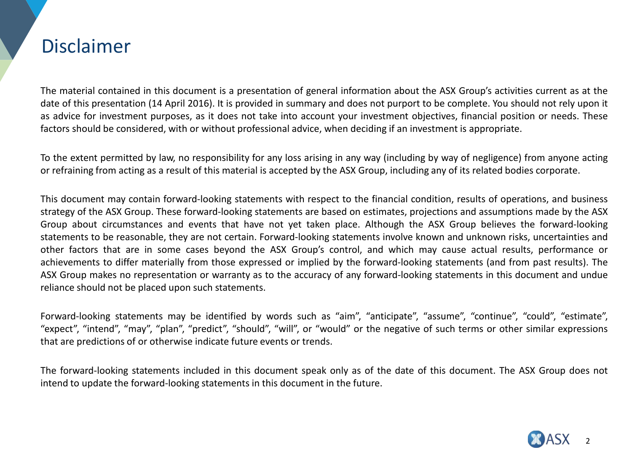### Disclaimer

The material contained in this document is a presentation of general information about the ASX Group's activities current as at the date of this presentation (14 April 2016). It is provided in summary and does not purport to be complete. You should not rely upon it as advice for investment purposes, as it does not take into account your investment objectives, financial position or needs. These factors should be considered, with or without professional advice, when deciding if an investment is appropriate.

To the extent permitted by law, no responsibility for any loss arising in any way (including by way of negligence) from anyone acting or refraining from acting as a result of this material is accepted by the ASX Group, including any of its related bodies corporate.

This document may contain forward-looking statements with respect to the financial condition, results of operations, and business strategy of the ASX Group. These forward-looking statements are based on estimates, projections and assumptions made by the ASX Group about circumstances and events that have not yet taken place. Although the ASX Group believes the forward-looking statements to be reasonable, they are not certain. Forward-looking statements involve known and unknown risks, uncertainties and other factors that are in some cases beyond the ASX Group's control, and which may cause actual results, performance or achievements to differ materially from those expressed or implied by the forward-looking statements (and from past results). The ASX Group makes no representation or warranty as to the accuracy of any forward-looking statements in this document and undue reliance should not be placed upon such statements.

Forward-looking statements may be identified by words such as "aim", "anticipate", "assume", "continue", "could", "estimate", "expect", "intend", "may", "plan", "predict", "should", "will", or "would" or the negative of such terms or other similar expressions that are predictions of or otherwise indicate future events or trends.

The forward-looking statements included in this document speak only as of the date of this document. The ASX Group does not intend to update the forward-looking statements in this document in the future.

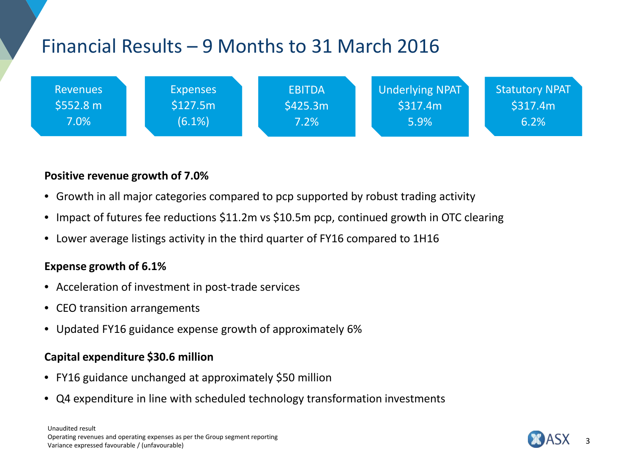## Financial Results – 9 Months to 31 March 2016



#### **Positive revenue growth of 7.0%**

- Growth in all major categories compared to pcp supported by robust trading activity
- Impact of futures fee reductions \$11.2m vs \$10.5m pcp, continued growth in OTC clearing
- Lower average listings activity in the third quarter of FY16 compared to 1H16

#### **Expense growth of 6.1%**

- Acceleration of investment in post-trade services
- CEO transition arrangements
- Updated FY16 guidance expense growth of approximately 6%

#### **Capital expenditure \$30.6 million**

- FY16 guidance unchanged at approximately \$50 million
- Q4 expenditure in line with scheduled technology transformation investments

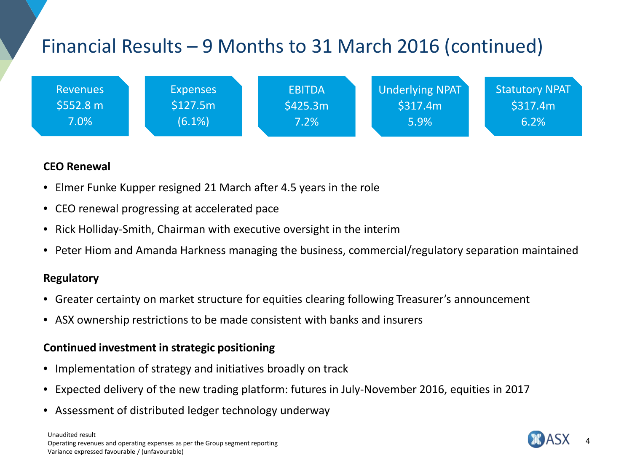# Financial Results – 9 Months to 31 March 2016 (continued)



#### **CEO Renewal**

- Elmer Funke Kupper resigned 21 March after 4.5 years in the role
- CEO renewal progressing at accelerated pace
- Rick Holliday-Smith, Chairman with executive oversight in the interim
- Peter Hiom and Amanda Harkness managing the business, commercial/regulatory separation maintained

#### **Regulatory**

- Greater certainty on market structure for equities clearing following Treasurer's announcement
- ASX ownership restrictions to be made consistent with banks and insurers

#### **Continued investment in strategic positioning**

- Implementation of strategy and initiatives broadly on track
- Expected delivery of the new trading platform: futures in July-November 2016, equities in 2017
- Assessment of distributed ledger technology underway

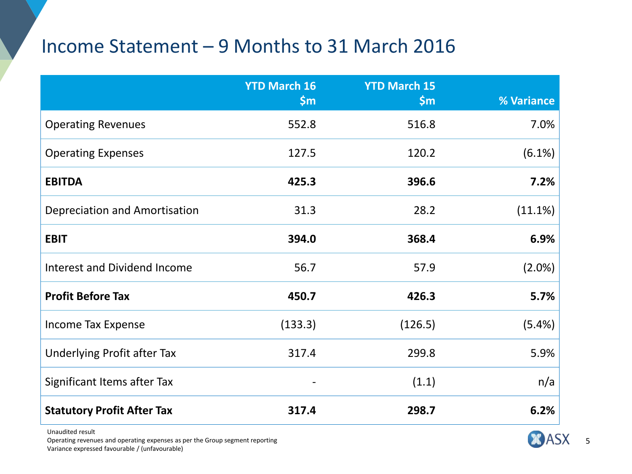### Income Statement – 9 Months to 31 March 2016

|                                     | <b>YTD March 16</b><br>\$m\$ | <b>YTD March 15</b><br>\$m\$ | % Variance |
|-------------------------------------|------------------------------|------------------------------|------------|
| <b>Operating Revenues</b>           | 552.8                        | 516.8                        | 7.0%       |
| <b>Operating Expenses</b>           | 127.5                        | 120.2                        | (6.1%)     |
| <b>EBITDA</b>                       | 425.3                        | 396.6                        | 7.2%       |
| Depreciation and Amortisation       | 31.3                         | 28.2                         | (11.1%)    |
| <b>EBIT</b>                         | 394.0                        | 368.4                        | 6.9%       |
| <b>Interest and Dividend Income</b> | 56.7                         | 57.9                         | (2.0%)     |
| <b>Profit Before Tax</b>            | 450.7                        | 426.3                        | 5.7%       |
| <b>Income Tax Expense</b>           | (133.3)                      | (126.5)                      | (5.4%)     |
| <b>Underlying Profit after Tax</b>  | 317.4                        | 299.8                        | 5.9%       |
| Significant Items after Tax         |                              | (1.1)                        | n/a        |
| <b>Statutory Profit After Tax</b>   | 317.4                        | 298.7                        | 6.2%       |

Unaudited result Operating revenues and operating expenses as per the Group segment reporting Variance expressed favourable / (unfavourable)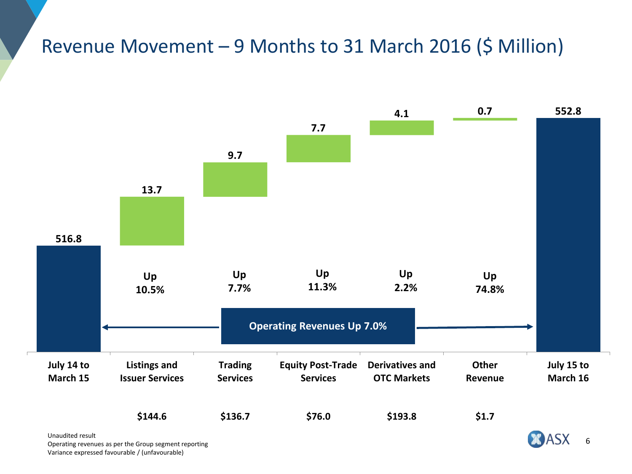### Revenue Movement – 9 Months to 31 March 2016 (\$ Million)



Unaudited result and the Group segment reporting and the set of the Control of the Control of the Group segment reporting and the Control of the Group segment reporting and the Control of the Control of the Control of the Variance expressed favourable / (unfavourable)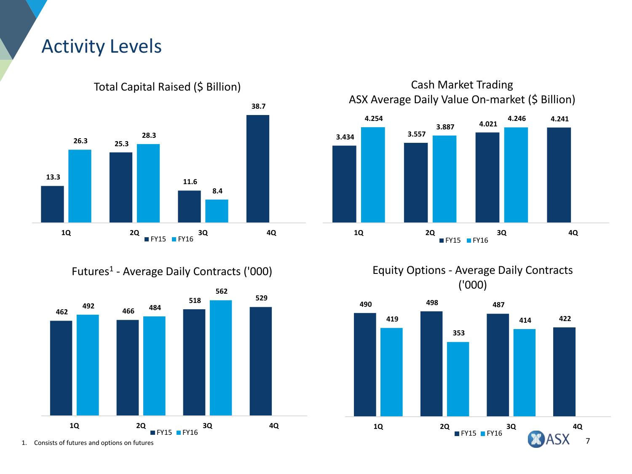### Activity Levels



Total Capital Raised (\$ Billion)

Cash Market Trading ASX Average Daily Value On-market (\$ Billion)







Futures1 - Average Daily Contracts ('000)



1. Consists of futures and options on futures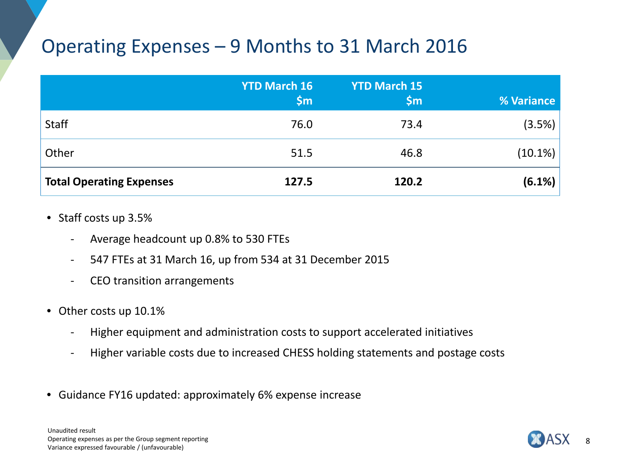### Operating Expenses – 9 Months to 31 March 2016

|                                 | <b>YTD March 16</b><br>$\mathsf{S}$ m | <b>YTD March 15</b><br>$\mathsf{S}$ m | <b>% Variance</b> |
|---------------------------------|---------------------------------------|---------------------------------------|-------------------|
| Staff                           | 76.0                                  | 73.4                                  | (3.5%)            |
| Other                           | 51.5                                  | 46.8                                  | (10.1%)           |
| <b>Total Operating Expenses</b> | 127.5                                 | 120.2                                 | (6.1%)            |

- Staff costs up 3.5%
	- Average headcount up 0.8% to 530 FTEs
	- 547 FTEs at 31 March 16, up from 534 at 31 December 2015
	- CEO transition arrangements
- Other costs up 10.1%
	- Higher equipment and administration costs to support accelerated initiatives
	- Higher variable costs due to increased CHESS holding statements and postage costs
- Guidance FY16 updated: approximately 6% expense increase